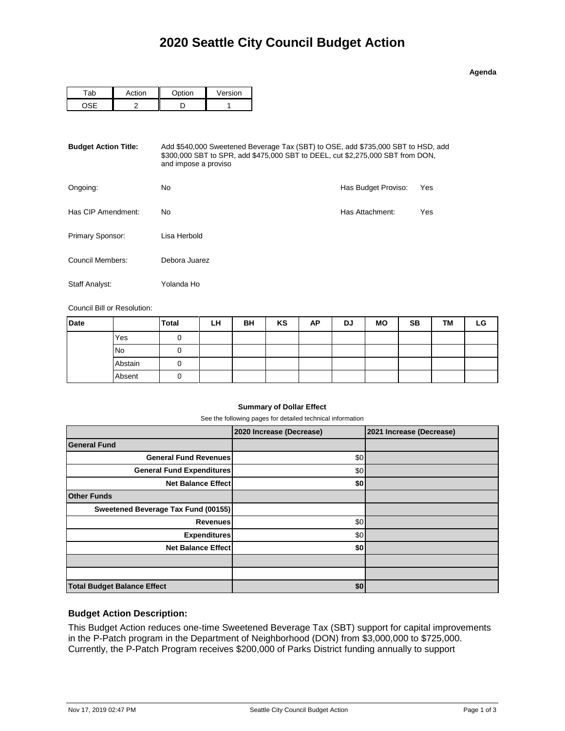|   | п<br>И<br>e<br>ı |  |
|---|------------------|--|
| ۰ |                  |  |

|  | $\sim$ $\sim$ $\sim$ $\sim$ | Version |  |  |
|--|-----------------------------|---------|--|--|
|  |                             |         |  |  |

| <b>Budget Action Title:</b> | Add \$540,000 Sweetened Beverage Tax (SBT) to OSE, add \$735,000 SBT to HSD, add<br>\$300,000 SBT to SPR, add \$475,000 SBT to DEEL, cut \$2,275,000 SBT from DON,<br>and impose a proviso |                     |     |  |  |  |  |
|-----------------------------|--------------------------------------------------------------------------------------------------------------------------------------------------------------------------------------------|---------------------|-----|--|--|--|--|
| Ongoing:                    | No                                                                                                                                                                                         | Has Budget Proviso: | Yes |  |  |  |  |
| Has CIP Amendment:          | No                                                                                                                                                                                         | Has Attachment:     | Yes |  |  |  |  |
| Primary Sponsor:            | Lisa Herbold                                                                                                                                                                               |                     |     |  |  |  |  |
| Council Members:            | Debora Juarez                                                                                                                                                                              |                     |     |  |  |  |  |
| Staff Analyst:              | Yolanda Ho                                                                                                                                                                                 |                     |     |  |  |  |  |

Council Bill or Resolution:

| <b>Date</b> |           | <b>Total</b> | LH | BH | KS | ΑP | DJ | <b>MO</b> | <b>SB</b> | TM | LG |
|-------------|-----------|--------------|----|----|----|----|----|-----------|-----------|----|----|
|             | Yes       |              |    |    |    |    |    |           |           |    |    |
|             | <b>No</b> |              |    |    |    |    |    |           |           |    |    |
|             | Abstain   |              |    |    |    |    |    |           |           |    |    |
|             | Absent    | υ            |    |    |    |    |    |           |           |    |    |

## **Summary of Dollar Effect**

See the following pages for detailed technical information

|                                     | 2020 Increase (Decrease) | 2021 Increase (Decrease) |
|-------------------------------------|--------------------------|--------------------------|
| <b>General Fund</b>                 |                          |                          |
| <b>General Fund Revenues</b>        | \$0                      |                          |
| <b>General Fund Expenditures</b>    | \$0                      |                          |
| <b>Net Balance Effect</b>           | \$0                      |                          |
| <b>Other Funds</b>                  |                          |                          |
| Sweetened Beverage Tax Fund (00155) |                          |                          |
| Revenues                            | \$0                      |                          |
| <b>Expenditures</b>                 | \$0                      |                          |
| <b>Net Balance Effect</b>           | \$0                      |                          |
|                                     |                          |                          |
|                                     |                          |                          |
| <b>Total Budget Balance Effect</b>  | \$0                      |                          |

## **Budget Action Description:**

This Budget Action reduces one-time Sweetened Beverage Tax (SBT) support for capital improvements in the P-Patch program in the Department of Neighborhood (DON) from \$3,000,000 to \$725,000. Currently, the P-Patch Program receives \$200,000 of Parks District funding annually to support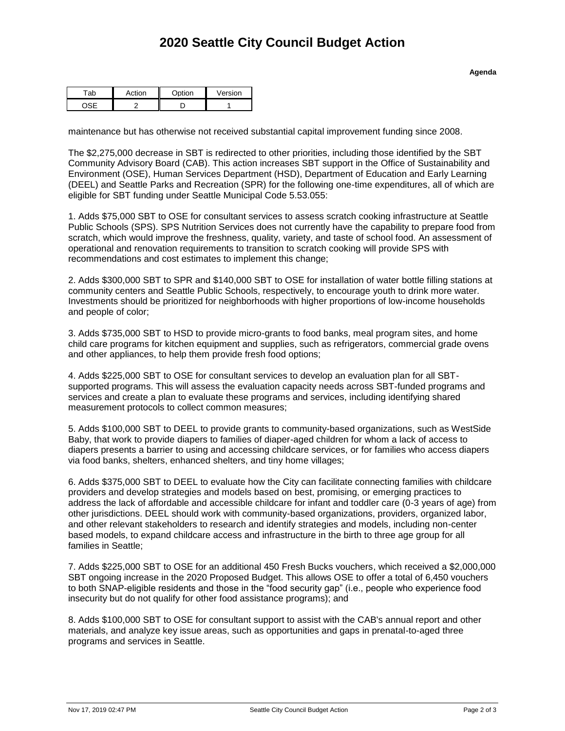|  | Option | Version |
|--|--------|---------|
|  |        |         |

maintenance but has otherwise not received substantial capital improvement funding since 2008.

The \$2,275,000 decrease in SBT is redirected to other priorities, including those identified by the SBT Community Advisory Board (CAB). This action increases SBT support in the Office of Sustainability and Environment (OSE), Human Services Department (HSD), Department of Education and Early Learning (DEEL) and Seattle Parks and Recreation (SPR) for the following one-time expenditures, all of which are eligible for SBT funding under Seattle Municipal Code 5.53.055:

1. Adds \$75,000 SBT to OSE for consultant services to assess scratch cooking infrastructure at Seattle Public Schools (SPS). SPS Nutrition Services does not currently have the capability to prepare food from scratch, which would improve the freshness, quality, variety, and taste of school food. An assessment of operational and renovation requirements to transition to scratch cooking will provide SPS with recommendations and cost estimates to implement this change;

2. Adds \$300,000 SBT to SPR and \$140,000 SBT to OSE for installation of water bottle filling stations at community centers and Seattle Public Schools, respectively, to encourage youth to drink more water. Investments should be prioritized for neighborhoods with higher proportions of low-income households and people of color;

3. Adds \$735,000 SBT to HSD to provide micro-grants to food banks, meal program sites, and home child care programs for kitchen equipment and supplies, such as refrigerators, commercial grade ovens and other appliances, to help them provide fresh food options;

4. Adds \$225,000 SBT to OSE for consultant services to develop an evaluation plan for all SBTsupported programs. This will assess the evaluation capacity needs across SBT-funded programs and services and create a plan to evaluate these programs and services, including identifying shared measurement protocols to collect common measures;

5. Adds \$100,000 SBT to DEEL to provide grants to community-based organizations, such as WestSide Baby, that work to provide diapers to families of diaper-aged children for whom a lack of access to diapers presents a barrier to using and accessing childcare services, or for families who access diapers via food banks, shelters, enhanced shelters, and tiny home villages;

6. Adds \$375,000 SBT to DEEL to evaluate how the City can facilitate connecting families with childcare providers and develop strategies and models based on best, promising, or emerging practices to address the lack of affordable and accessible childcare for infant and toddler care (0-3 years of age) from other jurisdictions. DEEL should work with community-based organizations, providers, organized labor, and other relevant stakeholders to research and identify strategies and models, including non-center based models, to expand childcare access and infrastructure in the birth to three age group for all families in Seattle;

7. Adds \$225,000 SBT to OSE for an additional 450 Fresh Bucks vouchers, which received a \$2,000,000 SBT ongoing increase in the 2020 Proposed Budget. This allows OSE to offer a total of 6,450 vouchers to both SNAP-eligible residents and those in the "food security gap" (i.e., people who experience food insecurity but do not qualify for other food assistance programs); and

8. Adds \$100,000 SBT to OSE for consultant support to assist with the CAB's annual report and other materials, and analyze key issue areas, such as opportunities and gaps in prenatal-to-aged three programs and services in Seattle.